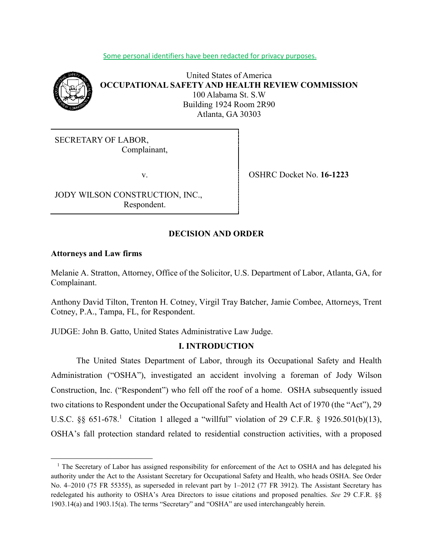#### Some personal identifiers have been redacted for privacy purposes.



United States of America **OCCUPATIONAL SAFETY AND HEALTH REVIEW COMMISSION** 100 Alabama St. S.W Building 1924 Room 2R90 Atlanta, GA 30303

SECRETARY OF LABOR, Complainant,

JODY WILSON CONSTRUCTION, INC., Respondent.

v. OSHRC Docket No. **16-1223**

# **DECISION AND ORDER**

#### **Attorneys and Law firms**

l

Melanie A. Stratton, Attorney, Office of the Solicitor, U.S. Department of Labor, Atlanta, GA, for Complainant.

Anthony David Tilton, Trenton H. Cotney, Virgil Tray Batcher, Jamie Combee, Attorneys, Trent Cotney, P.A., Tampa, FL, for Respondent.

JUDGE: John B. Gatto, United States Administrative Law Judge.

# **I. INTRODUCTION**

The United States Department of Labor, through its Occupational Safety and Health Administration ("OSHA"), investigated an accident involving a foreman of Jody Wilson Construction, Inc. ("Respondent") who fell off the roof of a home. OSHA subsequently issued two citations to Respondent under the Occupational Safety and Health Act of 1970 (the "Act"), 29 U.S.C. §§ 651-678.<sup>1</sup> Citation 1 alleged a "willful" violation of 29 C.F.R. § 1926.501(b)(13), OSHA's fall protection standard related to residential construction activities, with a proposed

<sup>&</sup>lt;sup>1</sup> The Secretary of Labor has assigned responsibility for enforcement of the Act to OSHA and has delegated his authority under the Act to the Assistant Secretary for Occupational Safety and Health, who heads OSHA. See Order No. 4–2010 (75 FR 55355), as superseded in relevant part by 1–2012 (77 FR 3912). The Assistant Secretary has redelegated his authority to OSHA's Area Directors to issue citations and proposed penalties. *See* 29 C.F.R. §§ 1903.14(a) and 1903.15(a). The terms "Secretary" and "OSHA" are used interchangeably herein.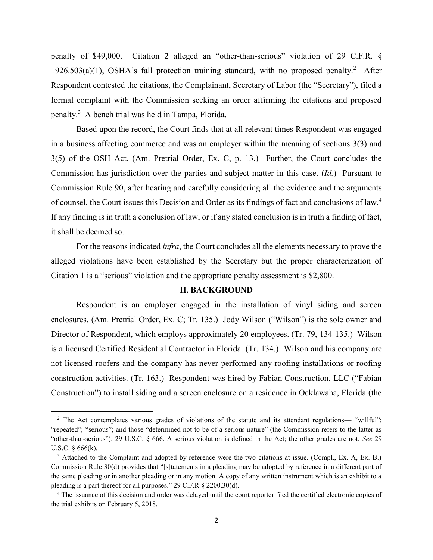penalty of \$49,000. Citation 2 alleged an "other-than-serious" violation of 29 C.F.R. § 1926.503(a)(1), OSHA's fall protection training standard, with no proposed penalty.<sup>2</sup> After Respondent contested the citations, the Complainant, Secretary of Labor (the "Secretary"), filed a formal complaint with the Commission seeking an order affirming the citations and proposed penalty. <sup>3</sup> A bench trial was held in Tampa, Florida.

Based upon the record, the Court finds that at all relevant times Respondent was engaged in a business affecting commerce and was an employer within the meaning of sections 3(3) and 3(5) of the OSH Act. (Am. Pretrial Order, Ex. C, p. 13.) Further, the Court concludes the Commission has jurisdiction over the parties and subject matter in this case. (*Id.*) Pursuant to Commission Rule 90, after hearing and carefully considering all the evidence and the arguments of counsel, the Court issues this Decision and Order as its findings of fact and conclusions of law.<sup>4</sup> If any finding is in truth a conclusion of law, or if any stated conclusion is in truth a finding of fact, it shall be deemed so.

For the reasons indicated *infra*, the Court concludes all the elements necessary to prove the alleged violations have been established by the Secretary but the proper characterization of Citation 1 is a "serious" violation and the appropriate penalty assessment is \$2,800.

#### **II. BACKGROUND**

Respondent is an employer engaged in the installation of vinyl siding and screen enclosures. (Am. Pretrial Order, Ex. C; Tr. 135.) Jody Wilson ("Wilson") is the sole owner and Director of Respondent, which employs approximately 20 employees. (Tr. 79, 134-135.) Wilson is a licensed Certified Residential Contractor in Florida. (Tr. 134.) Wilson and his company are not licensed roofers and the company has never performed any roofing installations or roofing construction activities. (Tr. 163.) Respondent was hired by Fabian Construction, LLC ("Fabian Construction") to install siding and a screen enclosure on a residence in Ocklawaha, Florida (the

<sup>&</sup>lt;sup>2</sup> The Act contemplates various grades of violations of the statute and its attendant regulations— "willful"; "repeated"; "serious"; and those "determined not to be of a serious nature" (the Commission refers to the latter as "other-than-serious"). 29 U.S.C. § 666. A serious violation is defined in the Act; the other grades are not. *See* 29 U.S.C. § 666(k)*.*

<sup>&</sup>lt;sup>3</sup> Attached to the Complaint and adopted by reference were the two citations at issue. (Compl., Ex. A, Ex. B.) Commission Rule 30(d) provides that "[s]tatements in a pleading may be adopted by reference in a different part of the same pleading or in another pleading or in any motion. A copy of any written instrument which is an exhibit to a pleading is a part thereof for all purposes." 29 C.F.R § 2200.30(d).

<sup>&</sup>lt;sup>4</sup> The issuance of this decision and order was delayed until the court reporter filed the certified electronic copies of the trial exhibits on February 5, 2018.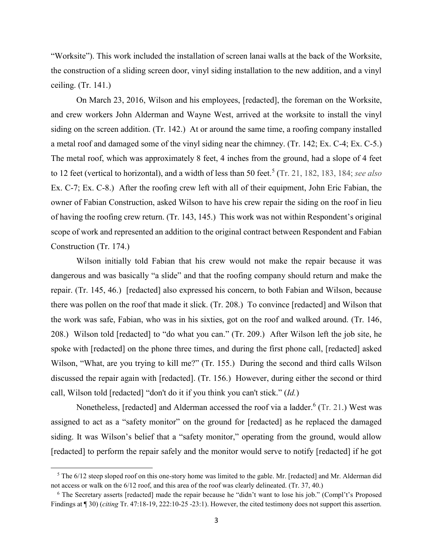"Worksite"). This work included the installation of screen lanai walls at the back of the Worksite, the construction of a sliding screen door, vinyl siding installation to the new addition, and a vinyl ceiling. (Tr. 141.)

On March 23, 2016, Wilson and his employees, [redacted], the foreman on the Worksite, and crew workers John Alderman and Wayne West, arrived at the worksite to install the vinyl siding on the screen addition. (Tr. 142.) At or around the same time, a roofing company installed a metal roof and damaged some of the vinyl siding near the chimney. (Tr. 142; Ex. C-4; Ex. C-5.) The metal roof, which was approximately 8 feet, 4 inches from the ground, had a slope of 4 feet to 12 feet (vertical to horizontal), and a width of less than 50 feet.<sup>5</sup> (Tr. 21, 182, 183, 184; *see also* Ex. C-7; Ex. C-8.) After the roofing crew left with all of their equipment, John Eric Fabian, the owner of Fabian Construction, asked Wilson to have his crew repair the siding on the roof in lieu of having the roofing crew return. (Tr. 143, 145.) This work was not within Respondent's original scope of work and represented an addition to the original contract between Respondent and Fabian Construction (Tr. 174.)

Wilson initially told Fabian that his crew would not make the repair because it was dangerous and was basically "a slide" and that the roofing company should return and make the repair. (Tr. 145, 46.) [redacted] also expressed his concern, to both Fabian and Wilson, because there was pollen on the roof that made it slick. (Tr. 208.) To convince [redacted] and Wilson that the work was safe, Fabian, who was in his sixties, got on the roof and walked around. (Tr. 146, 208.) Wilson told [redacted] to "do what you can." (Tr. 209.) After Wilson left the job site, he spoke with [redacted] on the phone three times, and during the first phone call, [redacted] asked Wilson, "What, are you trying to kill me?" (Tr. 155.) During the second and third calls Wilson discussed the repair again with [redacted]. (Tr. 156.) However, during either the second or third call, Wilson told [redacted] "don't do it if you think you can't stick." (*Id.*)

Nonetheless, [redacted] and Alderman accessed the roof via a ladder.<sup>6</sup> (Tr. 21.) West was assigned to act as a "safety monitor" on the ground for [redacted] as he replaced the damaged siding. It was Wilson's belief that a "safety monitor," operating from the ground, would allow [redacted] to perform the repair safely and the monitor would serve to notify [redacted] if he got

<sup>&</sup>lt;sup>5</sup> The 6/12 steep sloped roof on this one-story home was limited to the gable. Mr. [redacted] and Mr. Alderman did not access or walk on the 6/12 roof, and this area of the roof was clearly delineated. (Tr. 37, 40.)

<sup>6</sup> The Secretary asserts [redacted] made the repair because he "didn't want to lose his job." (Compl't's Proposed Findings at ¶ 30) (*citing* Tr. 47:18-19, 222:10-25 -23:1). However, the cited testimony does not support this assertion.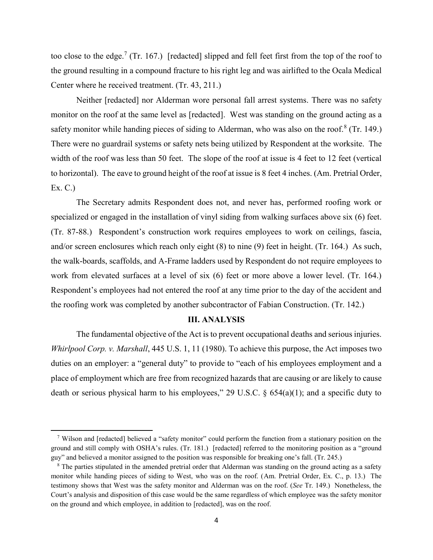too close to the edge.<sup>7</sup> (Tr. 167.) [redacted] slipped and fell feet first from the top of the roof to the ground resulting in a compound fracture to his right leg and was airlifted to the Ocala Medical Center where he received treatment. (Tr. 43, 211.)

Neither [redacted] nor Alderman wore personal fall arrest systems. There was no safety monitor on the roof at the same level as [redacted]. West was standing on the ground acting as a safety monitor while handing pieces of siding to Alderman, who was also on the roof.<sup>8</sup> (Tr. 149.) There were no guardrail systems or safety nets being utilized by Respondent at the worksite. The width of the roof was less than 50 feet. The slope of the roof at issue is 4 feet to 12 feet (vertical to horizontal). The eave to ground height of the roof at issue is 8 feet 4 inches. (Am. Pretrial Order, Ex. C.)

The Secretary admits Respondent does not, and never has, performed roofing work or specialized or engaged in the installation of vinyl siding from walking surfaces above six (6) feet. (Tr. 87-88.) Respondent's construction work requires employees to work on ceilings, fascia, and/or screen enclosures which reach only eight (8) to nine (9) feet in height. (Tr. 164.) As such, the walk-boards, scaffolds, and A-Frame ladders used by Respondent do not require employees to work from elevated surfaces at a level of six (6) feet or more above a lower level. (Tr. 164.) Respondent's employees had not entered the roof at any time prior to the day of the accident and the roofing work was completed by another subcontractor of Fabian Construction. (Tr. 142.)

#### **III. ANALYSIS**

The fundamental objective of the Act is to prevent occupational deaths and serious injuries. *Whirlpool Corp. v. Marshall*, 445 U.S. 1, 11 (1980). To achieve this purpose, the Act imposes two duties on an employer: a "general duty" to provide to "each of his employees employment and a place of employment which are free from recognized hazards that are causing or are likely to cause death or serious physical harm to his employees," 29 U.S.C. § 654(a)(1); and a specific duty to

l

<sup>7</sup> Wilson and [redacted] believed a "safety monitor" could perform the function from a stationary position on the ground and still comply with OSHA's rules. (Tr. 181.) [redacted] referred to the monitoring position as a "ground guy" and believed a monitor assigned to the position was responsible for breaking one's fall. (Tr. 245.)

<sup>&</sup>lt;sup>8</sup> The parties stipulated in the amended pretrial order that Alderman was standing on the ground acting as a safety monitor while handing pieces of siding to West, who was on the roof. (Am. Pretrial Order, Ex. C., p. 13.) The testimony shows that West was the safety monitor and Alderman was on the roof. (*See* Tr. 149.) Nonetheless, the Court's analysis and disposition of this case would be the same regardless of which employee was the safety monitor on the ground and which employee, in addition to [redacted], was on the roof.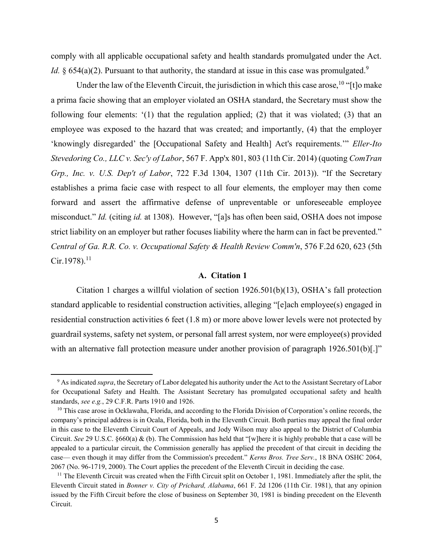comply with all applicable occupational safety and health standards promulgated under the Act. *Id.*  $\&$  654(a)(2). Pursuant to that authority, the standard at issue in this case was promulgated.<sup>9</sup>

Under the law of the Eleventh Circuit, the jurisdiction in which this case arose,  $^{10}$  "[t]o make a prima facie showing that an employer violated an OSHA standard, the Secretary must show the following four elements: '(1) that the regulation applied; (2) that it was violated; (3) that an employee was exposed to the hazard that was created; and importantly, (4) that the employer 'knowingly disregarded' the [Occupational Safety and Health] Act's requirements.'" *Eller-Ito Stevedoring Co., LLC v. Sec'y of Labor*, 567 F. App'x 801, 803 (11th Cir. 2014) (quoting *ComTran Grp., Inc. v. U.S. Dep't of Labor*, 722 F.3d 1304, 1307 (11th Cir. 2013)). "If the Secretary establishes a prima facie case with respect to all four elements, the employer may then come forward and assert the affirmative defense of unpreventable or unforeseeable employee misconduct." *Id.* (citing *id.* at 1308). However, "[a]s has often been said, OSHA does not impose strict liability on an employer but rather focuses liability where the harm can in fact be prevented." *Central of Ga. R.R. Co. v. Occupational Safety & Health Review Comm'n*, 576 F.2d 620, 623 (5th  $Cir.1978$ ).<sup>11</sup>

### **A. Citation 1**

Citation 1 charges a willful violation of section 1926.501(b)(13), OSHA's fall protection standard applicable to residential construction activities, alleging "[e]ach employee(s) engaged in residential construction activities 6 feet (1.8 m) or more above lower levels were not protected by guardrail systems, safety net system, or personal fall arrest system, nor were employee(s) provided with an alternative fall protection measure under another provision of paragraph 1926.501(b).]"

<sup>9</sup> As indicated *supra*, the Secretary of Labor delegated his authority under the Act to the Assistant Secretary of Labor for Occupational Safety and Health. The Assistant Secretary has promulgated occupational safety and health standards, *see e.g.*, 29 C.F.R. Parts 1910 and 1926.

<sup>&</sup>lt;sup>10</sup> This case arose in Ocklawaha, Florida, and according to the Florida Division of Corporation's online records, the company's principal address is in Ocala, Florida, both in the Eleventh Circuit. Both parties may appeal the final order in this case to the Eleventh Circuit Court of Appeals, and Jody Wilson may also appeal to the District of Columbia Circuit. *See* 29 U.S.C. §660(a) & (b). The Commission has held that "[w]here it is highly probable that a case will be appealed to a particular circuit, the Commission generally has applied the precedent of that circuit in deciding the case— even though it may differ from the Commission's precedent." *Kerns Bros. Tree Serv.*, 18 BNA OSHC 2064, 2067 (No. 96-1719, 2000). The Court applies the precedent of the Eleventh Circuit in deciding the case.

 $11$  The Eleventh Circuit was created when the Fifth Circuit split on October 1, 1981. Immediately after the split, the Eleventh Circuit stated in *Bonner v. City of Prichard, Alabama*, 661 F. 2d 1206 (11th Cir. 1981), that any opinion issued by the Fifth Circuit before the close of business on September 30, 1981 is binding precedent on the Eleventh Circuit.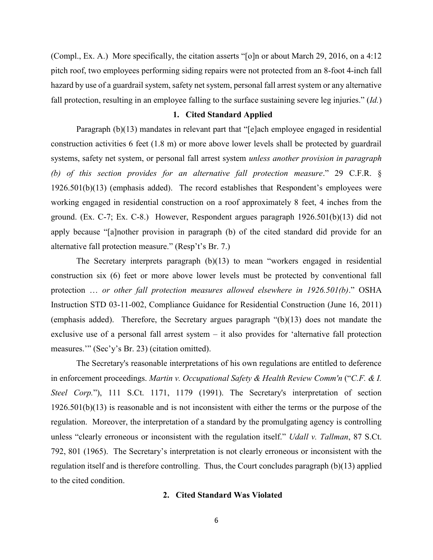(Compl., Ex. A.) More specifically, the citation asserts "[o]n or about March 29, 2016, on a 4:12 pitch roof, two employees performing siding repairs were not protected from an 8-foot 4-inch fall hazard by use of a guardrail system, safety net system, personal fall arrest system or any alternative fall protection, resulting in an employee falling to the surface sustaining severe leg injuries." (*Id.*)

#### **1. Cited Standard Applied**

Paragraph (b)(13) mandates in relevant part that "[e]ach employee engaged in residential construction activities 6 feet (1.8 m) or more above lower levels shall be protected by guardrail systems, safety net system, or personal fall arrest system *unless another provision in paragraph (b) of this section provides for an alternative fall protection measure*." 29 C.F.R. § 1926.501(b)(13) (emphasis added). The record establishes that Respondent's employees were working engaged in residential construction on a roof approximately 8 feet, 4 inches from the ground. (Ex. C-7; Ex. C-8.) However, Respondent argues paragraph 1926.501(b)(13) did not apply because "[a]nother provision in paragraph (b) of the cited standard did provide for an alternative fall protection measure." (Resp't's Br. 7.)

The Secretary interprets paragraph (b)(13) to mean "workers engaged in residential construction six (6) feet or more above lower levels must be protected by conventional fall protection … *or other fall protection measures allowed elsewhere in 1926.501(b)*." OSHA Instruction STD 03-11-002, Compliance Guidance for Residential Construction (June 16, 2011) (emphasis added). Therefore, the Secretary argues paragraph "(b)(13) does not mandate the exclusive use of a personal fall arrest system – it also provides for 'alternative fall protection measures.'" (Sec'y's Br. 23) (citation omitted).

The Secretary's reasonable interpretations of his own regulations are entitled to deference in enforcement proceedings. *Martin v. Occupational Safety & Health Review Comm'n* ("*C.F. & I. Steel Corp.*"), 111 S.Ct. 1171, 1179 (1991). The Secretary's interpretation of section 1926.501(b)(13) is reasonable and is not inconsistent with either the terms or the purpose of the regulation. Moreover, the interpretation of a standard by the promulgating agency is controlling unless "clearly erroneous or inconsistent with the regulation itself." *Udall v. Tallman*, 87 S.Ct. 792, 801 (1965). The Secretary's interpretation is not clearly erroneous or inconsistent with the regulation itself and is therefore controlling. Thus, the Court concludes paragraph (b)(13) applied to the cited condition.

### **2. Cited Standard Was Violated**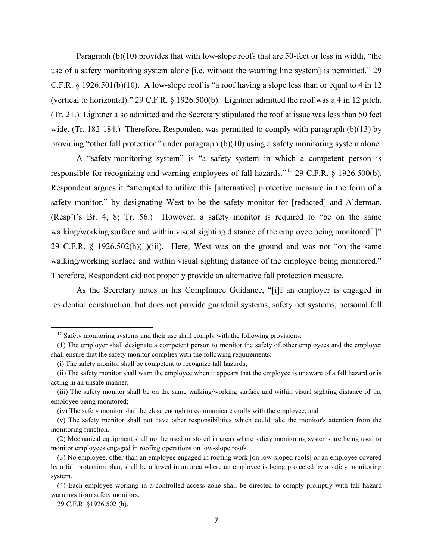Paragraph (b)(10) provides that with low-slope roofs that are 50-feet or less in width, "the use of a safety monitoring system alone [i.e. without the warning line system] is permitted." 29 C.F.R. § 1926.501(b)(10). A low-slope roof is "a roof having a slope less than or equal to 4 in 12 (vertical to horizontal)." 29 C.F.R. § 1926.500(b). Lightner admitted the roof was a 4 in 12 pitch. (Tr. 21.) Lightner also admitted and the Secretary stipulated the roof at issue was less than 50 feet wide. (Tr. 182-184.) Therefore, Respondent was permitted to comply with paragraph (b)(13) by providing "other fall protection" under paragraph (b)(10) using a safety monitoring system alone.

A "safety-monitoring system" is "a safety system in which a competent person is responsible for recognizing and warning employees of fall hazards."<sup>12</sup> 29 C.F.R. § 1926.500(b). Respondent argues it "attempted to utilize this [alternative] protective measure in the form of a safety monitor," by designating West to be the safety monitor for [redacted] and Alderman. (Resp't's Br. 4, 8; Tr. 56.) However, a safety monitor is required to "be on the same walking/working surface and within visual sighting distance of the employee being monitored[.]" 29 C.F.R.  $\S$  1926.502(h)(1)(iii). Here, West was on the ground and was not "on the same walking/working surface and within visual sighting distance of the employee being monitored." Therefore, Respondent did not properly provide an alternative fall protection measure.

As the Secretary notes in his Compliance Guidance, "[i]f an employer is engaged in residential construction, but does not provide guardrail systems, safety net systems, personal fall

<sup>&</sup>lt;sup>12</sup> Safety monitoring systems and their use shall comply with the following provisions:

<sup>(1)</sup> The employer shall designate a competent person to monitor the safety of other employees and the employer shall ensure that the safety monitor complies with the following requirements:

<sup>(</sup>i) The safety monitor shall be competent to recognize fall hazards;

<sup>(</sup>ii) The safety monitor shall warn the employee when it appears that the employee is unaware of a fall hazard or is acting in an unsafe manner;

<sup>(</sup>iii) The safety monitor shall be on the same walking/working surface and within visual sighting distance of the employee being monitored;

<sup>(</sup>iv) The safety monitor shall be close enough to communicate orally with the employee; and

<sup>(</sup>v) The safety monitor shall not have other responsibilities which could take the monitor's attention from the monitoring function.

<sup>(2)</sup> Mechanical equipment shall not be used or stored in areas where safety monitoring systems are being used to monitor employees engaged in roofing operations on low-slope roofs.

<sup>(3)</sup> No employee, other than an employee engaged in roofing work [on low-sloped roofs] or an employee covered by a fall protection plan, shall be allowed in an area where an employee is being protected by a safety monitoring system.

<sup>(4)</sup> Each employee working in a controlled access zone shall be directed to comply promptly with fall hazard warnings from safety monitors.

<sup>29</sup> C.F.R. §1926.502 (h).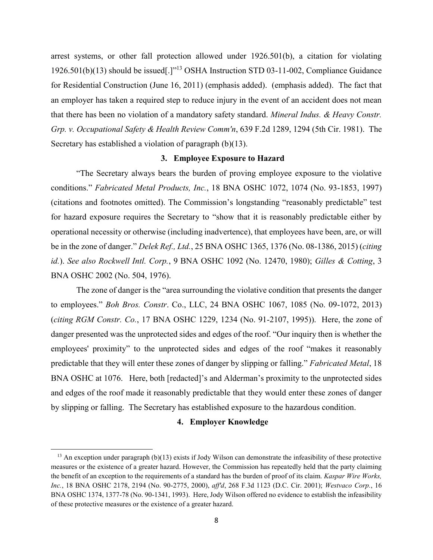arrest systems, or other fall protection allowed under 1926.501(b), a citation for violating 1926.501(b)(13) should be issued[.]"<sup>13</sup> OSHA Instruction STD 03-11-002, Compliance Guidance for Residential Construction (June 16, 2011) (emphasis added). (emphasis added). The fact that an employer has taken a required step to reduce injury in the event of an accident does not mean that there has been no violation of a mandatory safety standard. *Mineral Indus. & Heavy Constr. Grp. v. Occupational Safety & Health Review Comm'n*, 639 F.2d 1289, 1294 (5th Cir. 1981). The Secretary has established a violation of paragraph (b)(13).

#### **3. Employee Exposure to Hazard**

"The Secretary always bears the burden of proving employee exposure to the violative conditions." *Fabricated Metal Products, Inc.*, 18 BNA OSHC 1072, 1074 (No. 93-1853, 1997) (citations and footnotes omitted). The Commission's longstanding "reasonably predictable" test for hazard exposure requires the Secretary to "show that it is reasonably predictable either by operational necessity or otherwise (including inadvertence), that employees have been, are, or will be in the zone of danger." *Delek Ref., Ltd.*, 25 BNA OSHC 1365, 1376 (No. 08-1386, 2015) (*citing id.*). *See also Rockwell Intl. Corp.*, 9 BNA OSHC 1092 (No. 12470, 1980); *Gilles & Cotting*, 3 BNA OSHC 2002 (No. 504, 1976).

The zone of danger is the "area surrounding the violative condition that presents the danger to employees." *Boh Bros. Constr*. Co., LLC, 24 BNA OSHC 1067, 1085 (No. 09-1072, 2013) (*citing RGM Constr. Co.*, 17 BNA OSHC 1229, 1234 (No. 91-2107, 1995)). Here, the zone of danger presented was the unprotected sides and edges of the roof. "Our inquiry then is whether the employees' proximity" to the unprotected sides and edges of the roof "makes it reasonably predictable that they will enter these zones of danger by slipping or falling." *Fabricated Metal*, 18 BNA OSHC at 1076. Here, both [redacted]'s and Alderman's proximity to the unprotected sides and edges of the roof made it reasonably predictable that they would enter these zones of danger by slipping or falling. The Secretary has established exposure to the hazardous condition.

## **4. Employer Knowledge**

 $\overline{a}$ 

<sup>&</sup>lt;sup>13</sup> An exception under paragraph (b)(13) exists if Jody Wilson can demonstrate the infeasibility of these protective measures or the existence of a greater hazard. However, the Commission has repeatedly held that the party claiming the benefit of an exception to the requirements of a standard has the burden of proof of its claim. *Kaspar Wire Works, Inc.*, 18 BNA OSHC 2178, 2194 (No. 90-2775, 2000), *aff'd*, 268 F.3d 1123 (D.C. Cir. 2001); *Westvaco Corp.*, 16 BNA OSHC 1374, 1377-78 (No. 90-1341, 1993). Here, Jody Wilson offered no evidence to establish the infeasibility of these protective measures or the existence of a greater hazard.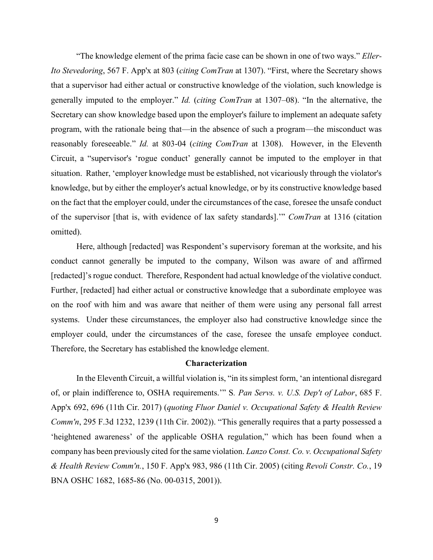"The knowledge element of the prima facie case can be shown in one of two ways." *Eller-Ito Stevedoring*, 567 F. App'x at 803 (*citing ComTran* at 1307). "First, where the Secretary shows that a supervisor had either actual or constructive knowledge of the violation, such knowledge is generally imputed to the employer." *Id.* (*citing ComTran* at 1307–08). "In the alternative, the Secretary can show knowledge based upon the employer's failure to implement an adequate safety program, with the rationale being that—in the absence of such a program—the misconduct was reasonably foreseeable." *Id.* at 803-04 (*citing ComTran* at 1308). However, in the Eleventh Circuit, a "supervisor's 'rogue conduct' generally cannot be imputed to the employer in that situation. Rather, 'employer knowledge must be established, not vicariously through the violator's knowledge, but by either the employer's actual knowledge, or by its constructive knowledge based on the fact that the employer could, under the circumstances of the case, foresee the unsafe conduct of the supervisor [that is, with evidence of lax safety standards].'" *ComTran* at 1316 (citation omitted).

Here, although [redacted] was Respondent's supervisory foreman at the worksite, and his conduct cannot generally be imputed to the company, Wilson was aware of and affirmed [redacted]'s rogue conduct. Therefore, Respondent had actual knowledge of the violative conduct. Further, [redacted] had either actual or constructive knowledge that a subordinate employee was on the roof with him and was aware that neither of them were using any personal fall arrest systems. Under these circumstances, the employer also had constructive knowledge since the employer could, under the circumstances of the case, foresee the unsafe employee conduct. Therefore, the Secretary has established the knowledge element.

# **Characterization**

In the Eleventh Circuit, a willful violation is, "in its simplest form, 'an intentional disregard of, or plain indifference to, OSHA requirements.'" S*. Pan Servs. v. U.S. Dep't of Labor*, 685 F. App'x 692, 696 (11th Cir. 2017) (*quoting Fluor Daniel v. Occupational Safety & Health Review Comm'n*, 295 F.3d 1232, 1239 (11th Cir. 2002)). "This generally requires that a party possessed a 'heightened awareness' of the applicable OSHA regulation," which has been found when a company has been previously cited for the same violation. *Lanzo Const. Co. v. Occupational Safety & Health Review Comm'n.*, 150 F. App'x 983, 986 (11th Cir. 2005) (citing *Revoli Constr. Co.*, 19 BNA OSHC 1682, 1685-86 (No. 00-0315, 2001)).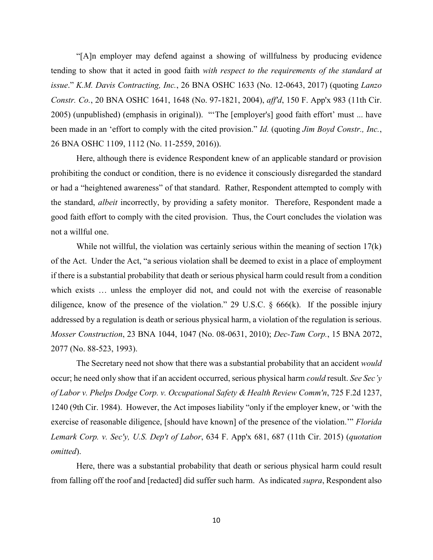"[A]n employer may defend against a showing of willfulness by producing evidence tending to show that it acted in good faith *with respect to the requirements of the standard at issue*." *K.M. Davis Contracting, Inc.*, 26 BNA OSHC 1633 (No. 12-0643, 2017) (quoting *Lanzo Constr. Co.*, 20 BNA OSHC 1641, 1648 (No. 97-1821, 2004), *aff'd*, 150 F. App'x 983 (11th Cir. 2005) (unpublished) (emphasis in original)). "'The [employer's] good faith effort' must ... have been made in an 'effort to comply with the cited provision." *Id.* (quoting *Jim Boyd Constr., Inc.*, 26 BNA OSHC 1109, 1112 (No. 11-2559, 2016)).

Here, although there is evidence Respondent knew of an applicable standard or provision prohibiting the conduct or condition, there is no evidence it consciously disregarded the standard or had a "heightened awareness" of that standard. Rather, Respondent attempted to comply with the standard, *albeit* incorrectly, by providing a safety monitor. Therefore, Respondent made a good faith effort to comply with the cited provision. Thus, the Court concludes the violation was not a willful one.

While not willful, the violation was certainly serious within the meaning of section 17(k) of the Act. Under the Act, "a serious violation shall be deemed to exist in a place of employment if there is a substantial probability that death or serious physical harm could result from a condition which exists … unless the employer did not, and could not with the exercise of reasonable diligence, know of the presence of the violation." 29 U.S.C.  $\S$  666(k). If the possible injury addressed by a regulation is death or serious physical harm, a violation of the regulation is serious. *Mosser Construction*, 23 BNA 1044, 1047 (No. 08-0631, 2010); *Dec-Tam Corp.*, 15 BNA 2072, 2077 (No. 88-523, 1993).

The Secretary need not show that there was a substantial probability that an accident *would*  occur; he need only show that if an accident occurred, serious physical harm *could* result. *See Sec'y of Labor v. Phelps Dodge Corp. v. Occupational Safety & Health Review Comm'n*, 725 F.2d 1237, 1240 (9th Cir. 1984). However, the Act imposes liability "only if the employer knew, or 'with the exercise of reasonable diligence, [should have known] of the presence of the violation.'" *Florida Lemark Corp. v. Sec'y, U.S. Dep't of Labor*, 634 F. App'x 681, 687 (11th Cir. 2015) (*quotation omitted*).

Here, there was a substantial probability that death or serious physical harm could result from falling off the roof and [redacted] did suffer such harm. As indicated *supra*, Respondent also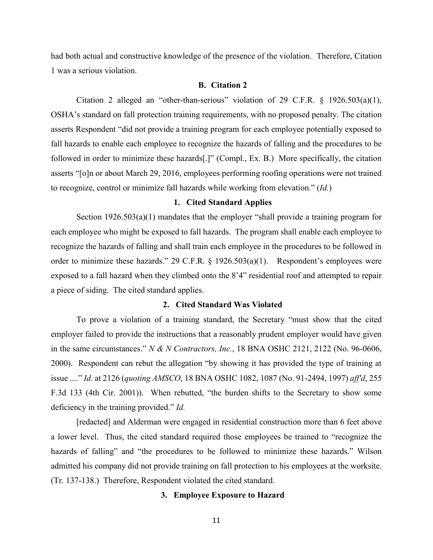had both actual and constructive knowledge of the presence of the violation. Therefore, Citation 1 was a serious violation.

## **B. Citation 2**

Citation 2 alleged an "other-than-serious" violation of 29 C.F.R. § 1926.503(a)(1), OSHA's standard on fall protection training requirements, with no proposed penalty. The citation asserts Respondent "did not provide a training program for each employee potentially exposed to fall hazards to enable each employee to recognize the hazards of falling and the procedures to be followed in order to minimize these hazards[.]" (Compl., Ex. B.) More specifically, the citation asserts "[o]n or about March 29, 2016, employees performing roofing operations were not trained to recognize, control or minimize fall hazards while working from elevation." (*Id.*)

# **1. Cited Standard Applies**

Section 1926.503(a)(1) mandates that the employer "shall provide a training program for each employee who might be exposed to fall hazards. The program shall enable each employee to recognize the hazards of falling and shall train each employee in the procedures to be followed in order to minimize these hazards." 29 C.F.R. § 1926.503(a)(1).Respondent's employees were exposed to a fall hazard when they climbed onto the 8'4" residential roof and attempted to repair a piece of siding. The cited standard applies.

### **2. Cited Standard Was Violated**

To prove a violation of a training standard, the Secretary "must show that the cited employer failed to provide the instructions that a reasonably prudent employer would have given in the same circumstances." *N & N Contractors, Inc.*, 18 BNA OSHC 2121, 2122 (No. 96-0606, 2000). Respondent can rebut the allegation "by showing it has provided the type of training at issue ...." *Id.* at 2126 (*quoting AMSCO*, 18 BNA OSHC 1082, 1087 (No. 91-2494, 1997) *aff'd*, 255 F.3d 133 (4th Cir. 2001)). When rebutted, "the burden shifts to the Secretary to show some deficiency in the training provided." *Id.*

[redacted] and Alderman were engaged in residential construction more than 6 feet above a lower level. Thus, the cited standard required those employees be trained to "recognize the hazards of falling" and "the procedures to be followed to minimize these hazards." Wilson admitted his company did not provide training on fall protection to his employees at the worksite. (Tr. 137-138.) Therefore, Respondent violated the cited standard.

# **3. Employee Exposure to Hazard**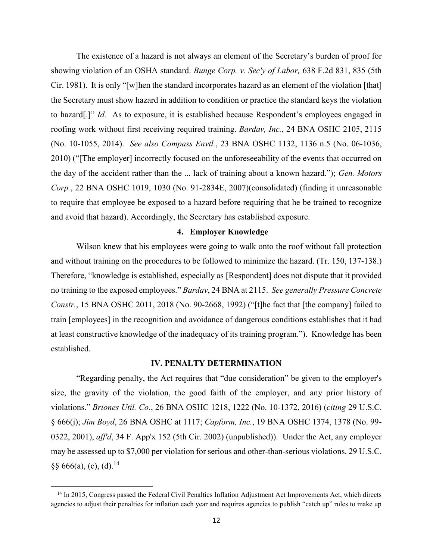The existence of a hazard is not always an element of the Secretary's burden of proof for showing violation of an OSHA standard. *Bunge Corp. v. Sec'y of Labor,* 638 F.2d 831, 835 (5th Cir. 1981). It is only "[w]hen the standard incorporates hazard as an element of the violation [that] the Secretary must show hazard in addition to condition or practice the standard keys the violation to hazard[.]" *Id.* As to exposure, it is established because Respondent's employees engaged in roofing work without first receiving required training. *Bardav, Inc.*, 24 BNA OSHC 2105, 2115 (No. 10-1055, 2014). *See also Compass Envtl.*, 23 BNA OSHC 1132, 1136 n.5 (No. 06-1036, 2010) ("[The employer] incorrectly focused on the unforeseeability of the events that occurred on the day of the accident rather than the ... lack of training about a known hazard."); *Gen. Motors Corp.*, 22 BNA OSHC 1019, 1030 (No. 91-2834E, 2007)(consolidated) (finding it unreasonable to require that employee be exposed to a hazard before requiring that he be trained to recognize and avoid that hazard). Accordingly, the Secretary has established exposure.

#### **4. Employer Knowledge**

Wilson knew that his employees were going to walk onto the roof without fall protection and without training on the procedures to be followed to minimize the hazard. (Tr. 150, 137-138.) Therefore, "knowledge is established, especially as [Respondent] does not dispute that it provided no training to the exposed employees." *Bardav*, 24 BNA at 2115. *See generally Pressure Concrete Constr.*, 15 BNA OSHC 2011, 2018 (No. 90-2668, 1992) ("[t]he fact that [the company] failed to train [employees] in the recognition and avoidance of dangerous conditions establishes that it had at least constructive knowledge of the inadequacy of its training program."). Knowledge has been established.

# **IV. PENALTY DETERMINATION**

"Regarding penalty, the Act requires that "due consideration" be given to the employer's size, the gravity of the violation, the good faith of the employer, and any prior history of violations." *Briones Util. Co.*, 26 BNA OSHC 1218, 1222 (No. 10-1372, 2016) (*citing* 29 U.S.C. § 666(j); *Jim Boyd*, 26 BNA OSHC at 1117; *Capform, Inc.*, 19 BNA OSHC 1374, 1378 (No. 99- 0322, 2001), *aff'd*, 34 F. App'x 152 (5th Cir. 2002) (unpublished)). Under the Act, any employer may be assessed up to \$7,000 per violation for serious and other-than-serious violations. 29 U.S.C.  $\S\S 666(a)$ , (c), (d).<sup>14</sup>

l

<sup>&</sup>lt;sup>14</sup> In 2015, Congress passed the Federal Civil Penalties Inflation Adjustment Act Improvements Act, which directs agencies to adjust their penalties for inflation each year and requires agencies to publish "catch up" rules to make up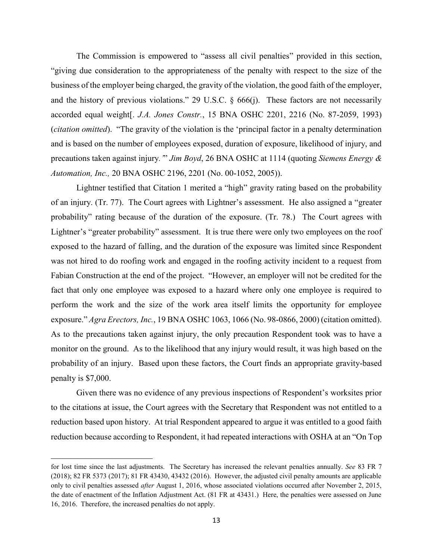The Commission is empowered to "assess all civil penalties" provided in this section, "giving due consideration to the appropriateness of the penalty with respect to the size of the business of the employer being charged, the gravity of the violation, the good faith of the employer, and the history of previous violations." 29 U.S.C. § 666(j). These factors are not necessarily accorded equal weight[. *J.A. Jones Constr.*, 15 BNA OSHC 2201, 2216 (No. 87-2059, 1993) (*citation omitted*). "The gravity of the violation is the 'principal factor in a penalty determination and is based on the number of employees exposed, duration of exposure, likelihood of injury, and precautions taken against injury*.'*" *Jim Boyd*, 26 BNA OSHC at 1114 (quoting *Siemens Energy & Automation, Inc.,* 20 BNA OSHC 2196, 2201 (No. 00-1052, 2005)).

Lightner testified that Citation 1 merited a "high" gravity rating based on the probability of an injury. (Tr. 77). The Court agrees with Lightner's assessment. He also assigned a "greater probability" rating because of the duration of the exposure. (Tr. 78.) The Court agrees with Lightner's "greater probability" assessment. It is true there were only two employees on the roof exposed to the hazard of falling, and the duration of the exposure was limited since Respondent was not hired to do roofing work and engaged in the roofing activity incident to a request from Fabian Construction at the end of the project. "However, an employer will not be credited for the fact that only one employee was exposed to a hazard where only one employee is required to perform the work and the size of the work area itself limits the opportunity for employee exposure." *Agra Erectors, Inc.*, 19 BNA OSHC 1063, 1066 (No. 98-0866, 2000) (citation omitted). As to the precautions taken against injury, the only precaution Respondent took was to have a monitor on the ground. As to the likelihood that any injury would result, it was high based on the probability of an injury. Based upon these factors, the Court finds an appropriate gravity-based penalty is \$7,000.

Given there was no evidence of any previous inspections of Respondent's worksites prior to the citations at issue, the Court agrees with the Secretary that Respondent was not entitled to a reduction based upon history. At trial Respondent appeared to argue it was entitled to a good faith reduction because according to Respondent, it had repeated interactions with OSHA at an "On Top

l

for lost time since the last adjustments. The Secretary has increased the relevant penalties annually. *See* 83 FR 7 (2018); 82 FR 5373 (2017); 81 FR 43430, 43432 (2016). However, the adjusted civil penalty amounts are applicable only to civil penalties assessed *after* August 1, 2016, whose associated violations occurred after November 2, 2015, the date of enactment of the Inflation Adjustment Act. (81 FR at 43431.) Here, the penalties were assessed on June 16, 2016. Therefore, the increased penalties do not apply.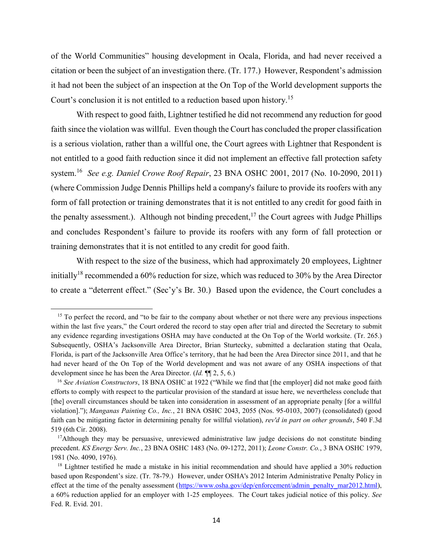of the World Communities" housing development in Ocala, Florida, and had never received a citation or been the subject of an investigation there. (Tr. 177.) However, Respondent's admission it had not been the subject of an inspection at the On Top of the World development supports the Court's conclusion it is not entitled to a reduction based upon history. 15

With respect to good faith, Lightner testified he did not recommend any reduction for good faith since the violation was willful. Even though the Court has concluded the proper classification is a serious violation, rather than a willful one, the Court agrees with Lightner that Respondent is not entitled to a good faith reduction since it did not implement an effective fall protection safety system. 16 *See e.g. Daniel Crowe Roof Repair*, 23 BNA OSHC 2001, 2017 (No. 10-2090, 2011) (where Commission Judge Dennis Phillips held a company's failure to provide its roofers with any form of fall protection or training demonstrates that it is not entitled to any credit for good faith in the penalty assessment.). Although not binding precedent,<sup>17</sup> the Court agrees with Judge Phillips and concludes Respondent's failure to provide its roofers with any form of fall protection or training demonstrates that it is not entitled to any credit for good faith.

With respect to the size of the business, which had approximately 20 employees, Lightner initially<sup>18</sup> recommended a 60% reduction for size, which was reduced to 30% by the Area Director to create a "deterrent effect." (Sec'y's Br. 30.) Based upon the evidence, the Court concludes a

 $\overline{a}$ 

<sup>&</sup>lt;sup>15</sup> To perfect the record, and "to be fair to the company about whether or not there were any previous inspections within the last five years," the Court ordered the record to stay open after trial and directed the Secretary to submit any evidence regarding investigations OSHA may have conducted at the On Top of the World worksite. (Tr. 265.) Subsequently, OSHA's Jacksonville Area Director, Brian Sturtecky, submitted a declaration stating that Ocala, Florida, is part of the Jacksonville Area Office's territory, that he had been the Area Director since 2011, and that he had never heard of the On Top of the World development and was not aware of any OSHA inspections of that development since he has been the Area Director. (*Id.* ¶¶ 2, 5, 6.)

<sup>16</sup> *See Aviation Constructors*, 18 BNA OSHC at 1922 ("While we find that [the employer] did not make good faith efforts to comply with respect to the particular provision of the standard at issue here, we nevertheless conclude that [the] overall circumstances should be taken into consideration in assessment of an appropriate penalty [for a willful violation]."); *Manganas Painting Co., Inc.*, 21 BNA OSHC 2043, 2055 (Nos. 95-0103, 2007) (consolidated) (good faith can be mitigating factor in determining penalty for willful violation), *rev'd in part on other grounds*, 540 F.3d 519 (6th Cir. 2008).

<sup>&</sup>lt;sup>17</sup>Although they may be persuasive, unreviewed administrative law judge decisions do not constitute binding precedent. *KS Energy Serv. Inc.*, 23 BNA OSHC 1483 (No. 09-1272, 2011); *Leone Constr. Co.*, 3 BNA OSHC 1979, 1981 (No. 4090, 1976).

<sup>&</sup>lt;sup>18</sup> Lightner testified he made a mistake in his initial recommendation and should have applied a 30% reduction based upon Respondent's size. (Tr. 78-79.) However, under OSHA's 2012 Interim Administrative Penalty Policy in effect at the time of the penalty assessment [\(https://www.osha.gov/dep/enforcement/admin\\_penalty\\_mar2012.html\)](https://www.osha.gov/dep/enforcement/admin_penalty_mar2012.html), a 60% reduction applied for an employer with 1-25 employees. The Court takes judicial notice of this policy. *See* Fed. R. Evid. 201.